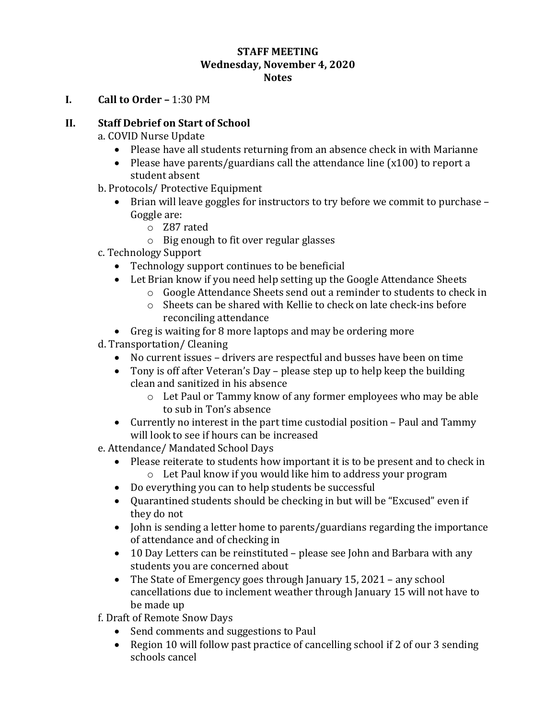#### **STAFF MEETING Wednesday, November 4, 2020 Notes**

**I. Call to Order –** 1:30 PM

### **II. Staff Debrief on Start of School**

a. COVID Nurse Update

- Please have all students returning from an absence check in with Marianne
- Please have parents/guardians call the attendance line  $(x100)$  to report a student absent
- b. Protocols/ Protective Equipment
	- Brian will leave goggles for instructors to try before we commit to purchase Goggle are:
		- o Z87 rated
		- o Big enough to fit over regular glasses
- c. Technology Support
	- Technology support continues to be beneficial
	- Let Brian know if you need help setting up the Google Attendance Sheets
		- o Google Attendance Sheets send out a reminder to students to check in
		- o Sheets can be shared with Kellie to check on late check-ins before reconciling attendance
	- Greg is waiting for 8 more laptops and may be ordering more
- d. Transportation/ Cleaning
	- No current issues drivers are respectful and busses have been on time
	- Tony is off after Veteran's Day please step up to help keep the building clean and sanitized in his absence
		- o Let Paul or Tammy know of any former employees who may be able to sub in Ton's absence
	- Currently no interest in the part time custodial position Paul and Tammy will look to see if hours can be increased
- e. Attendance/ Mandated School Days
	- Please reiterate to students how important it is to be present and to check in
		- o Let Paul know if you would like him to address your program
	- Do everything you can to help students be successful
	- Quarantined students should be checking in but will be "Excused" even if they do not
	- John is sending a letter home to parents/guardians regarding the importance of attendance and of checking in
	- 10 Day Letters can be reinstituted please see John and Barbara with any students you are concerned about
	- The State of Emergency goes through January 15, 2021 any school cancellations due to inclement weather through January 15 will not have to be made up

f. Draft of Remote Snow Days

- Send comments and suggestions to Paul
- Region 10 will follow past practice of cancelling school if 2 of our 3 sending schools cancel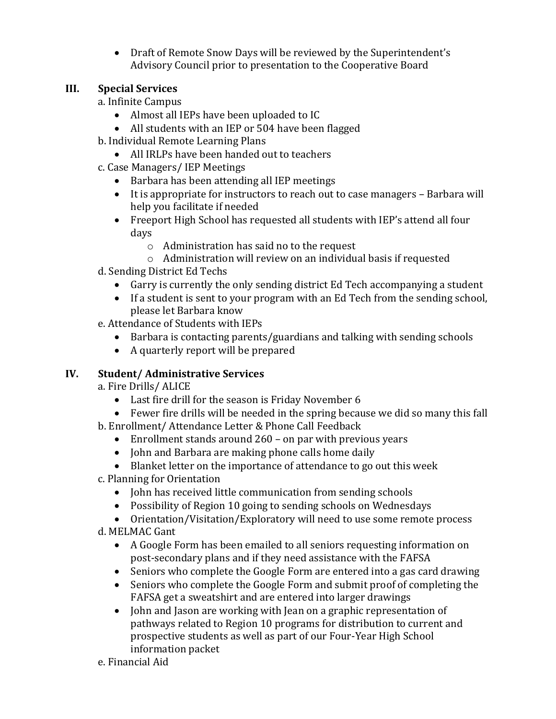Draft of Remote Snow Days will be reviewed by the Superintendent's Advisory Council prior to presentation to the Cooperative Board

### **III. Special Services**

a. Infinite Campus

- Almost all IEPs have been uploaded to IC
- All students with an IEP or 504 have been flagged
- b. Individual Remote Learning Plans
	- All IRLPs have been handed out to teachers
- c. Case Managers/ IEP Meetings
	- Barbara has been attending all IEP meetings
	- It is appropriate for instructors to reach out to case managers Barbara will help you facilitate if needed
	- Freeport High School has requested all students with IEP's attend all four days
		- o Administration has said no to the request
		- o Administration will review on an individual basis if requested
- d. Sending District Ed Techs
	- Garry is currently the only sending district Ed Tech accompanying a student
	- If a student is sent to your program with an Ed Tech from the sending school, please let Barbara know
- e. Attendance of Students with IEPs
	- Barbara is contacting parents/guardians and talking with sending schools
	- A quarterly report will be prepared

# **IV. Student/ Administrative Services**

a. Fire Drills/ ALICE

- Last fire drill for the season is Friday November 6
- Fewer fire drills will be needed in the spring because we did so many this fall
- b. Enrollment/ Attendance Letter & Phone Call Feedback
	- Enrollment stands around 260 on par with previous years
	- John and Barbara are making phone calls home daily
	- Blanket letter on the importance of attendance to go out this week
- c. Planning for Orientation
	- John has received little communication from sending schools
	- Possibility of Region 10 going to sending schools on Wednesdays
	- Orientation/Visitation/Exploratory will need to use some remote process
- d. MELMAC Gant
	- A Google Form has been emailed to all seniors requesting information on post-secondary plans and if they need assistance with the FAFSA
	- Seniors who complete the Google Form are entered into a gas card drawing
	- Seniors who complete the Google Form and submit proof of completing the FAFSA get a sweatshirt and are entered into larger drawings
	- John and Jason are working with Jean on a graphic representation of pathways related to Region 10 programs for distribution to current and prospective students as well as part of our Four-Year High School information packet
- e. Financial Aid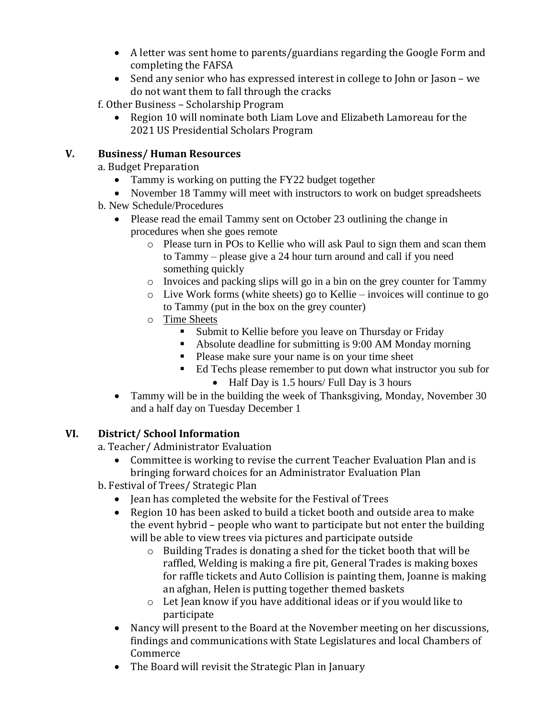- A letter was sent home to parents/guardians regarding the Google Form and completing the FAFSA
- Send any senior who has expressed interest in college to John or Jason we do not want them to fall through the cracks

f. Other Business – Scholarship Program

 Region 10 will nominate both Liam Love and Elizabeth Lamoreau for the 2021 US Presidential Scholars Program

## **V. Business/ Human Resources**

a. Budget Preparation

- Tammy is working on putting the FY22 budget together
- November 18 Tammy will meet with instructors to work on budget spreadsheets
- b. New Schedule/Procedures
	- Please read the email Tammy sent on October 23 outlining the change in procedures when she goes remote
		- o Please turn in POs to Kellie who will ask Paul to sign them and scan them to Tammy – please give a 24 hour turn around and call if you need something quickly
		- o Invoices and packing slips will go in a bin on the grey counter for Tammy
		- o Live Work forms (white sheets) go to Kellie invoices will continue to go to Tammy (put in the box on the grey counter)
		- o Time Sheets
			- Submit to Kellie before you leave on Thursday or Friday
			- Absolute deadline for submitting is 9:00 AM Monday morning
			- Please make sure your name is on your time sheet
			- Ed Techs please remember to put down what instructor you sub for
				- $\bullet$  Half Day is 1.5 hours/ Full Day is 3 hours
	- Tammy will be in the building the week of Thanksgiving, Monday, November 30 and a half day on Tuesday December 1

## **VI. District/ School Information**

a. Teacher/ Administrator Evaluation

- Committee is working to revise the current Teacher Evaluation Plan and is bringing forward choices for an Administrator Evaluation Plan
- b. Festival of Trees/ Strategic Plan
	- Jean has completed the website for the Festival of Trees
	- Region 10 has been asked to build a ticket booth and outside area to make the event hybrid – people who want to participate but not enter the building will be able to view trees via pictures and participate outside
		- o Building Trades is donating a shed for the ticket booth that will be raffled, Welding is making a fire pit, General Trades is making boxes for raffle tickets and Auto Collision is painting them, Joanne is making an afghan, Helen is putting together themed baskets
		- o Let Jean know if you have additional ideas or if you would like to participate
	- Nancy will present to the Board at the November meeting on her discussions, findings and communications with State Legislatures and local Chambers of Commerce
	- The Board will revisit the Strategic Plan in January